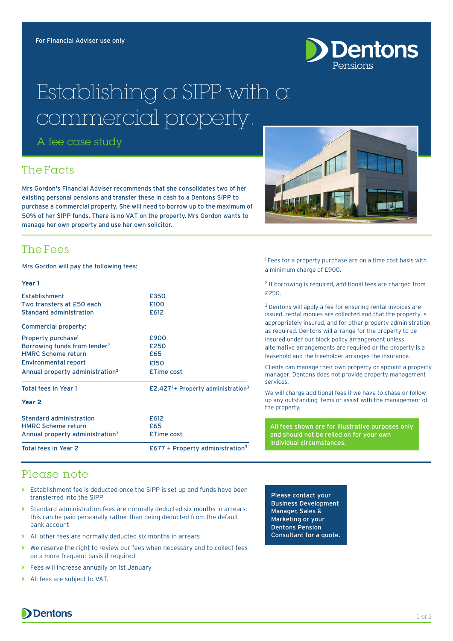

# Establishing a SIPP with a commercial property.

A fee case study

## The Facts

Mrs Gordon's Financial Adviser recommends that she consolidates two of her existing personal pensions and transfer these in cash to a Dentons SIPP to purchase a commercial property. She will need to borrow up to the maximum of 50% of her SIPP funds. There is no VAT on the property. Mrs Gordon wants to manage her own property and use her own solicitor.

## The Fees

Mrs Gordon will pay the following fees:

#### Veer<sub>1</sub>

| $£677 + Property$ administration <sup>3</sup>              |
|------------------------------------------------------------|
| <b>£Time cost</b>                                          |
| £65                                                        |
| £612                                                       |
|                                                            |
| £2,427 <sup>1</sup> + Property administration <sup>3</sup> |
| <b>£Time cost</b>                                          |
| £150                                                       |
| £65                                                        |
| £250                                                       |
| £900                                                       |
|                                                            |
| £612                                                       |
| £100                                                       |
| £350                                                       |
|                                                            |

<sup>1</sup> Fees for a property purchase are on a time cost basis with a minimum charge of £900.

2 If borrowing is required, additional fees are charged from £250.

<sup>3</sup> Dentons will apply a fee for ensuring rental invoices are issued, rental monies are collected and that the property is appropriately insured, and for other property administration as required. Dentons will arrange for the property to be insured under our block policy arrangement unless alternative arrangements are required or the property is a leasehold and the freeholder arranges the insurance.

Clients can manage their own property or appoint a property manager. Dentons does not provide property management services.

We will charge additional fees if we have to chase or follow up any outstanding items or assist with the management of the property.

All fees shown are for illustrative purposes only and should not be relied on for your own individual circumstances.

### Please note

- **>** Establishment fee is deducted once the SIPP is set up and funds have been transferred into the SIPP
- **>** Standard administration fees are normally deducted six months in arrears: this can be paid personally rather than being deducted from the default bank account
- **>** All other fees are normally deducted six months in arrears
- **>** We reserve the right to review our fees when necessary and to collect fees on a more frequent basis if required
- **>** Fees will increase annually on 1st January
- **>** All fees are subject to VAT.

Please contact your Business Development Manager, Sales & Marketing or your Dentons Pension Consultant for a quote.